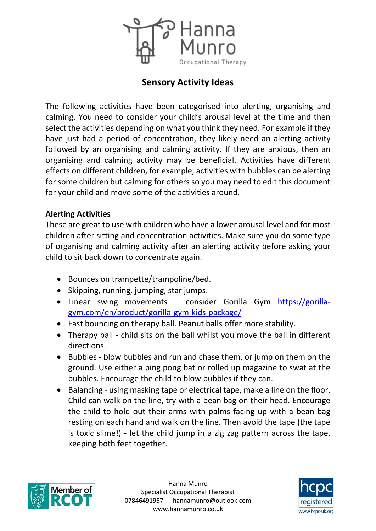

# **Sensory Activity Ideas**

The following activities have been categorised into alerting, organising and calming. You need to consider your child's arousal level at the time and then select the activities depending on what you think they need. For example if they have just had a period of concentration, they likely need an alerting activity followed by an organising and calming activity. If they are anxious, then an organising and calming activity may be beneficial. Activities have different effects on different children, for example, activities with bubbles can be alerting for some children but calming for others so you may need to edit this document for your child and move some of the activities around.

#### **Alerting Activities**

These are great to use with children who have a lower arousal level and for most children after sitting and concentration activities. Make sure you do some type of organising and calming activity after an alerting activity before asking your child to sit back down to concentrate again.

- Bounces on trampette/trampoline/bed.
- Skipping, running, jumping, star jumps.
- Linear swing movements consider Gorilla Gym [https://gorilla](https://gorilla-gym.com/en/product/gorilla-gym-kids-package/)[gym.com/en/product/gorilla-gym-kids-package/](https://gorilla-gym.com/en/product/gorilla-gym-kids-package/)
- Fast bouncing on therapy ball. Peanut balls offer more stability.
- Therapy ball child sits on the ball whilst you move the ball in different directions.
- Bubbles blow bubbles and run and chase them, or jump on them on the ground. Use either a ping pong bat or rolled up magazine to swat at the bubbles. Encourage the child to blow bubbles if they can.
- Balancing using masking tape or electrical tape, make a line on the floor. Child can walk on the line, try with a bean bag on their head. Encourage the child to hold out their arms with palms facing up with a bean bag resting on each hand and walk on the line. Then avoid the tape (the tape is toxic slime!) - let the child jump in a zig zag pattern across the tape, keeping both feet together.



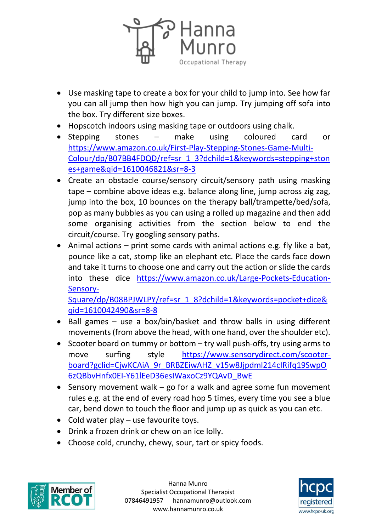

- Use masking tape to create a box for your child to jump into. See how far you can all jump then how high you can jump. Try jumping off sofa into the box. Try different size boxes.
- Hopscotch indoors using masking tape or outdoors using chalk.
- Stepping stones make using coloured card or [https://www.amazon.co.uk/First-Play-Stepping-Stones-Game-Multi-](https://www.amazon.co.uk/First-Play-Stepping-Stones-Game-Multi-Colour/dp/B07BB4FDQD/ref=sr_1_3?dchild=1&keywords=stepping+stones+game&qid=1610046821&sr=8-3)[Colour/dp/B07BB4FDQD/ref=sr\\_1\\_3?dchild=1&keywords=stepping+ston](https://www.amazon.co.uk/First-Play-Stepping-Stones-Game-Multi-Colour/dp/B07BB4FDQD/ref=sr_1_3?dchild=1&keywords=stepping+stones+game&qid=1610046821&sr=8-3) [es+game&qid=1610046821&sr=8-3](https://www.amazon.co.uk/First-Play-Stepping-Stones-Game-Multi-Colour/dp/B07BB4FDQD/ref=sr_1_3?dchild=1&keywords=stepping+stones+game&qid=1610046821&sr=8-3)
- Create an obstacle course/sensory circuit/sensory path using masking tape – combine above ideas e.g. balance along line, jump across zig zag, jump into the box, 10 bounces on the therapy ball/trampette/bed/sofa, pop as many bubbles as you can using a rolled up magazine and then add some organising activities from the section below to end the circuit/course. Try googling sensory paths.
- Animal actions  $-$  print some cards with animal actions e.g. fly like a bat, pounce like a cat, stomp like an elephant etc. Place the cards face down and take it turns to choose one and carry out the action or slide the cards into these dice [https://www.amazon.co.uk/Large-Pockets-Education-](https://www.amazon.co.uk/Large-Pockets-Education-Sensory-Square/dp/B08BPJWLPY/ref=sr_1_8?dchild=1&keywords=pocket+dice&qid=1610042490&sr=8-8)[Sensory-](https://www.amazon.co.uk/Large-Pockets-Education-Sensory-Square/dp/B08BPJWLPY/ref=sr_1_8?dchild=1&keywords=pocket+dice&qid=1610042490&sr=8-8)

[Square/dp/B08BPJWLPY/ref=sr\\_1\\_8?dchild=1&keywords=pocket+dice&](https://www.amazon.co.uk/Large-Pockets-Education-Sensory-Square/dp/B08BPJWLPY/ref=sr_1_8?dchild=1&keywords=pocket+dice&qid=1610042490&sr=8-8) [qid=1610042490&sr=8-8](https://www.amazon.co.uk/Large-Pockets-Education-Sensory-Square/dp/B08BPJWLPY/ref=sr_1_8?dchild=1&keywords=pocket+dice&qid=1610042490&sr=8-8)

- Ball games  $-$  use a box/bin/basket and throw balls in using different movements (from above the head, with one hand, over the shoulder etc).
- Scooter board on tummy or bottom  $-$  try wall push-offs, try using arms to move surfing style [https://www.sensorydirect.com/scooter](https://www.sensorydirect.com/scooter-board?gclid=CjwKCAiA_9r_BRBZEiwAHZ_v15w8Jjpdml214cIRifq19SwpO6zQBbvHnfx0EI-Y61lEeD36esIWaxoCz9YQAvD_BwE)board?gclid=CjwKCAiA\_9r\_BRBZEiwAHZ\_v15w8Jjpdml214clRifq19SwpO [6zQBbvHnfx0EI-Y61lEeD36esIWaxoCz9YQAvD\\_BwE](https://www.sensorydirect.com/scooter-board?gclid=CjwKCAiA_9r_BRBZEiwAHZ_v15w8Jjpdml214cIRifq19SwpO6zQBbvHnfx0EI-Y61lEeD36esIWaxoCz9YQAvD_BwE)
- Sensory movement walk go for a walk and agree some fun movement rules e.g. at the end of every road hop 5 times, every time you see a blue car, bend down to touch the floor and jump up as quick as you can etc.
- $\bullet$  Cold water play use favourite toys.
- Drink a frozen drink or chew on an ice lolly.
- Choose cold, crunchy, chewy, sour, tart or spicy foods.



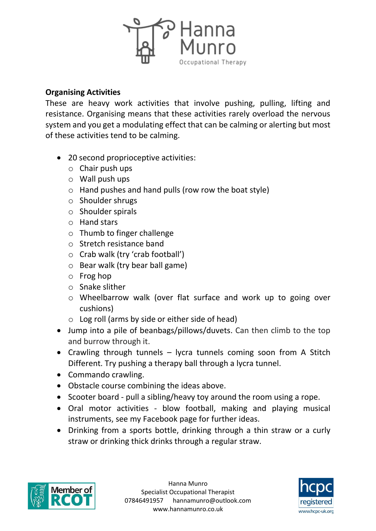

### **Organising Activities**

These are heavy work activities that involve pushing, pulling, lifting and resistance. Organising means that these activities rarely overload the nervous system and you get a modulating effect that can be calming or alerting but most of these activities tend to be calming.

- 20 second proprioceptive activities:
	- $\circ$  Chair push ups
	- $\circ$  Wall push ups
	- o Hand pushes and hand pulls (row row the boat style)
	- o Shoulder shrugs
	- o Shoulder spirals
	- o Hand stars
	- o Thumb to finger challenge
	- o Stretch resistance band
	- o Crab walk (try 'crab football')
	- o Bear walk (try bear ball game)
	- o Frog hop
	- o Snake slither
	- o Wheelbarrow walk (over flat surface and work up to going over cushions)
	- $\circ$  Log roll (arms by side or either side of head)
- Jump into a pile of beanbags/pillows/duvets. Can then climb to the top and burrow through it.
- Crawling through tunnels  $-$  lycra tunnels coming soon from A Stitch Different. Try pushing a therapy ball through a lycra tunnel.
- Commando crawling.
- Obstacle course combining the ideas above.
- Scooter board pull a sibling/heavy toy around the room using a rope.
- Oral motor activities blow football, making and playing musical instruments, see my Facebook page for further ideas.
- Drinking from a sports bottle, drinking through a thin straw or a curly straw or drinking thick drinks through a regular straw.



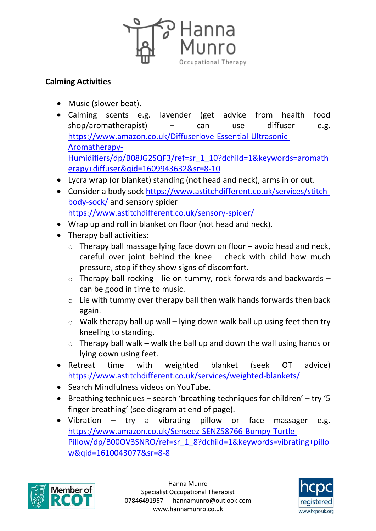

## **Calming Activities**

- Music (slower beat).
- Calming scents e.g. lavender (get advice from health food shop/aromatherapist) – can use diffuser e.g. [https://www.amazon.co.uk/Diffuserlove-Essential-Ultrasonic-](https://www.amazon.co.uk/Diffuserlove-Essential-Ultrasonic-Aromatherapy-Humidifiers/dp/B08JG2SQF3/ref=sr_1_10?dchild=1&keywords=aromatherapy+diffuser&qid=1609943632&sr=8-10)[Aromatherapy-](https://www.amazon.co.uk/Diffuserlove-Essential-Ultrasonic-Aromatherapy-Humidifiers/dp/B08JG2SQF3/ref=sr_1_10?dchild=1&keywords=aromatherapy+diffuser&qid=1609943632&sr=8-10)[Humidifiers/dp/B08JG2SQF3/ref=sr\\_1\\_10?dchild=1&keywords=aromath](https://www.amazon.co.uk/Diffuserlove-Essential-Ultrasonic-Aromatherapy-Humidifiers/dp/B08JG2SQF3/ref=sr_1_10?dchild=1&keywords=aromatherapy+diffuser&qid=1609943632&sr=8-10) [erapy+diffuser&qid=1609943632&sr=8-10](https://www.amazon.co.uk/Diffuserlove-Essential-Ultrasonic-Aromatherapy-Humidifiers/dp/B08JG2SQF3/ref=sr_1_10?dchild=1&keywords=aromatherapy+diffuser&qid=1609943632&sr=8-10)
- Lycra wrap (or blanket) standing (not head and neck), arms in or out.
- Consider a body sock [https://www.astitchdifferent.co.uk/services/stitch](https://www.astitchdifferent.co.uk/services/stitch-body-sock/)[body-sock/](https://www.astitchdifferent.co.uk/services/stitch-body-sock/) and sensory spider <https://www.astitchdifferent.co.uk/sensory-spider/>
- Wrap up and roll in blanket on floor (not head and neck).
- Therapy ball activities:
	- $\circ$  Therapy ball massage lying face down on floor avoid head and neck, careful over joint behind the knee – check with child how much pressure, stop if they show signs of discomfort.
	- $\circ$  Therapy ball rocking lie on tummy, rock forwards and backwards  $$ can be good in time to music.
	- $\circ$  Lie with tummy over therapy ball then walk hands forwards then back again.
	- $\circ$  Walk therapy ball up wall lying down walk ball up using feet then try kneeling to standing.
	- $\circ$  Therapy ball walk walk the ball up and down the wall using hands or lying down using feet.
- Retreat time with weighted blanket (seek OT advice) <https://www.astitchdifferent.co.uk/services/weighted-blankets/>
- Search Mindfulness videos on YouTube.
- Breathing techniques search 'breathing techniques for children' try '5 finger breathing' (see diagram at end of page).
- Vibration try a vibrating pillow or face massager e.g. [https://www.amazon.co.uk/Senseez-SENZ58766-Bumpy-Turtle-](https://www.amazon.co.uk/Senseez-SENZ58766-Bumpy-Turtle-Pillow/dp/B00OV3SNRO/ref=sr_1_8?dchild=1&keywords=vibrating+pillow&qid=1610043077&sr=8-8)[Pillow/dp/B00OV3SNRO/ref=sr\\_1\\_8?dchild=1&keywords=vibrating+pillo](https://www.amazon.co.uk/Senseez-SENZ58766-Bumpy-Turtle-Pillow/dp/B00OV3SNRO/ref=sr_1_8?dchild=1&keywords=vibrating+pillow&qid=1610043077&sr=8-8) [w&qid=1610043077&sr=8-8](https://www.amazon.co.uk/Senseez-SENZ58766-Bumpy-Turtle-Pillow/dp/B00OV3SNRO/ref=sr_1_8?dchild=1&keywords=vibrating+pillow&qid=1610043077&sr=8-8)



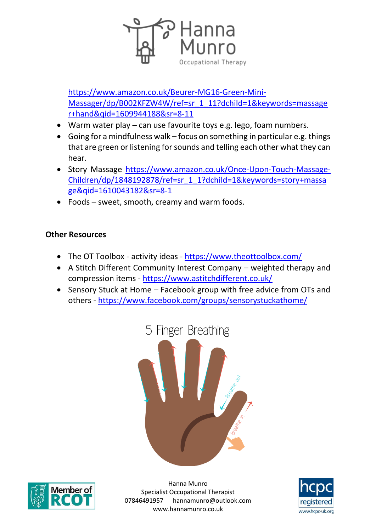

[https://www.amazon.co.uk/Beurer-MG16-Green-Mini-](https://www.amazon.co.uk/Beurer-MG16-Green-Mini-Massager/dp/B002KFZW4W/ref=sr_1_11?dchild=1&keywords=massager+hand&qid=1609944188&sr=8-11)[Massager/dp/B002KFZW4W/ref=sr\\_1\\_11?dchild=1&keywords=massage](https://www.amazon.co.uk/Beurer-MG16-Green-Mini-Massager/dp/B002KFZW4W/ref=sr_1_11?dchild=1&keywords=massager+hand&qid=1609944188&sr=8-11) [r+hand&qid=1609944188&sr=8-11](https://www.amazon.co.uk/Beurer-MG16-Green-Mini-Massager/dp/B002KFZW4W/ref=sr_1_11?dchild=1&keywords=massager+hand&qid=1609944188&sr=8-11)

- Warm water play can use favourite toys e.g. lego, foam numbers.
- Going for a mindfulness walk focus on something in particular e.g. things that are green or listening for sounds and telling each other what they can hear.
- Story Massage [https://www.amazon.co.uk/Once-Upon-Touch-Massage-](https://www.amazon.co.uk/Once-Upon-Touch-Massage-Children/dp/1848192878/ref=sr_1_1?dchild=1&keywords=story+massage&qid=1610043182&sr=8-1)[Children/dp/1848192878/ref=sr\\_1\\_1?dchild=1&keywords=story+massa](https://www.amazon.co.uk/Once-Upon-Touch-Massage-Children/dp/1848192878/ref=sr_1_1?dchild=1&keywords=story+massage&qid=1610043182&sr=8-1) [ge&qid=1610043182&sr=8-1](https://www.amazon.co.uk/Once-Upon-Touch-Massage-Children/dp/1848192878/ref=sr_1_1?dchild=1&keywords=story+massage&qid=1610043182&sr=8-1)
- Foods sweet, smooth, creamy and warm foods.

### **Other Resources**

- The OT Toolbox activity ideas <https://www.theottoolbox.com/>
- A Stitch Different Community Interest Company weighted therapy and compression items - <https://www.astitchdifferent.co.uk/>
- Sensory Stuck at Home Facebook group with free advice from OTs and others - <https://www.facebook.com/groups/sensorystuckathome/>





Hanna Munro Specialist Occupational Therapist 07846491957 hannamunro@outlook.com www.hannamunro.co.uk